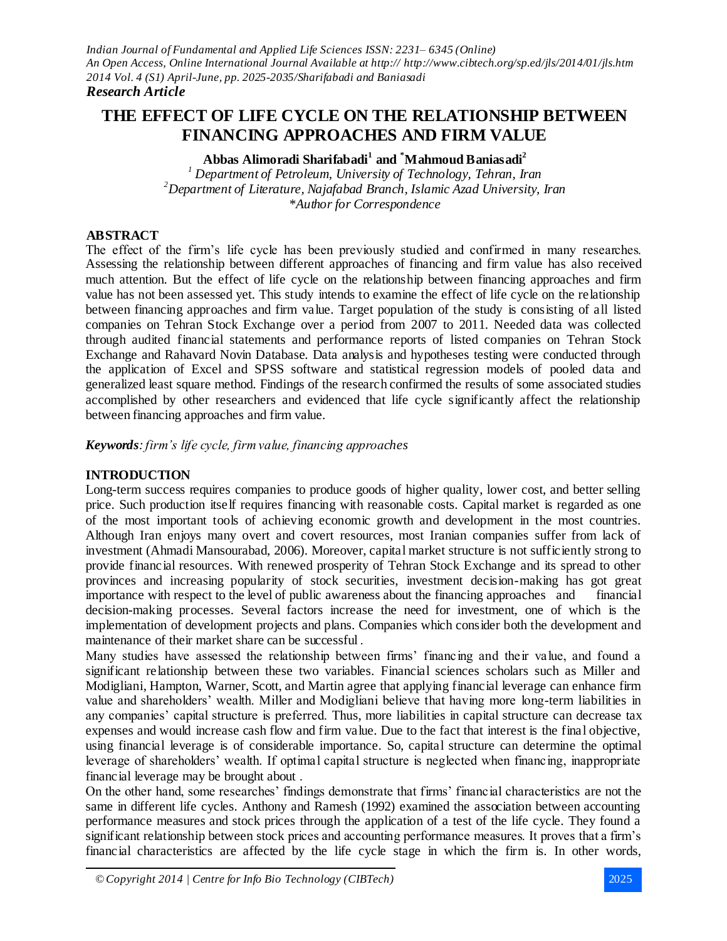# **THE EFFECT OF LIFE CYCLE ON THE RELATIONSHIP BETWEEN FINANCING APPROACHES AND FIRM VALUE**

**Abbas Alimoradi Sharifabadi<sup>1</sup> and \*Mahmoud Baniasadi<sup>2</sup>**

*<sup>1</sup> Department of Petroleum, University of Technology, Tehran, Iran <sup>2</sup>Department of Literature, Najafabad Branch, Islamic Azad University, Iran \*Author for Correspondence*

# **ABSTRACT**

The effect of the firm's life cycle has been previously studied and confirmed in many researches. Assessing the relationship between different approaches of financing and firm value has also received much attention. But the effect of life cycle on the relationship between financing approaches and firm value has not been assessed yet. This study intends to examine the effect of life cycle on the relationship between financing approaches and firm value. Target population of the study is consisting of all listed companies on Tehran Stock Exchange over a period from 2007 to 2011. Needed data was collected through audited financial statements and performance reports of listed companies on Tehran Stock Exchange and Rahavard Novin Database. Data analysis and hypotheses testing were conducted through the application of Excel and SPSS software and statistical regression models of pooled data and generalized least square method. Findings of the research confirmed the results of some associated studies accomplished by other researchers and evidenced that life cycle significantly affect the relationship between financing approaches and firm value.

*Keywords: firm's life cycle, firm value, financing approaches*

# **INTRODUCTION**

Long-term success requires companies to produce goods of higher quality, lower cost, and better selling price. Such production itself requires financing with reasonable costs. Capital market is regarded as one of the most important tools of achieving economic growth and development in the most countries. Although Iran enjoys many overt and covert resources, most Iranian companies suffer from lack of investment (Ahmadi Mansourabad, 2006). Moreover, capital market structure is not sufficiently strong to provide financial resources. With renewed prosperity of Tehran Stock Exchange and its spread to other provinces and increasing popularity of stock securities, investment decision-making has got great importance with respect to the level of public awareness about the financing approaches and financial decision-making processes. Several factors increase the need for investment, one of which is the implementation of development projects and plans. Companies which consider both the development and maintenance of their market share can be successful .

Many studies have assessed the relationship between firms' financing and their value, and found a significant relationship between these two variables. Financial sciences scholars such as Miller and Modigliani, Hampton, Warner, Scott, and Martin agree that applying financial leverage can enhance firm value and shareholders' wealth. Miller and Modigliani believe that having more long-term liabilities in any companies' capital structure is preferred. Thus, more liabilities in capital structure can decrease tax expenses and would increase cash flow and firm value. Due to the fact that interest is the final objective, using financial leverage is of considerable importance. So, capital structure can determine the optimal leverage of shareholders' wealth. If optimal capital structure is neglected when financing, inappropriate financial leverage may be brought about .

On the other hand, some researches' findings demonstrate that firms' financial characteristics are not the same in different life cycles. Anthony and Ramesh (1992) examined the association between accounting performance measures and stock prices through the application of a test of the life cycle. They found a significant relationship between stock prices and accounting performance measures. It proves that a firm's financial characteristics are affected by the life cycle stage in which the firm is. In other words,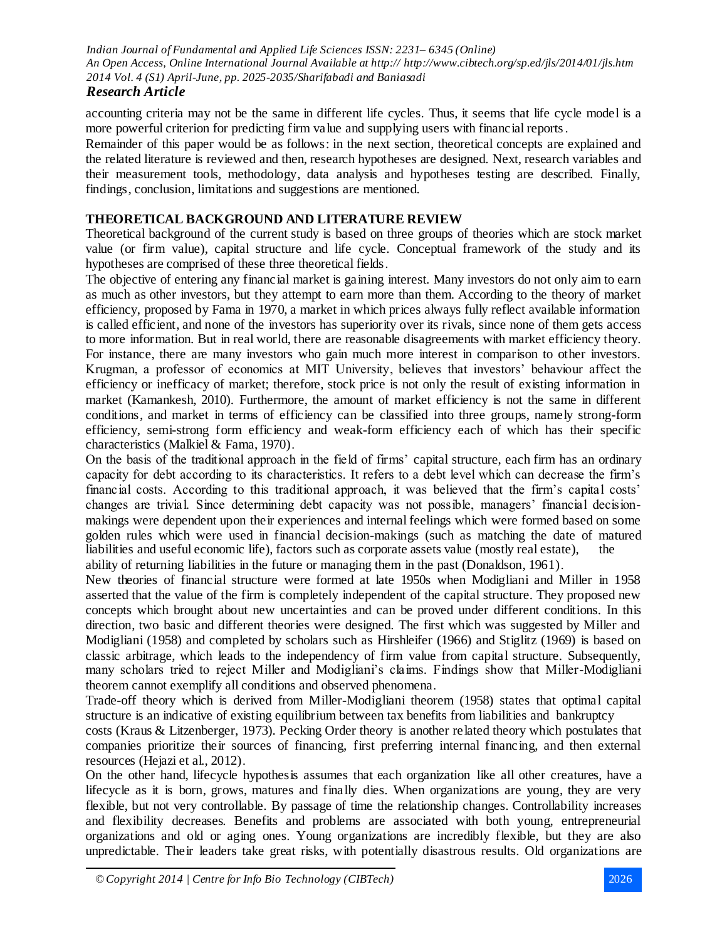# *Research Article*

accounting criteria may not be the same in different life cycles. Thus, it seems that life cycle model is a more powerful criterion for predicting firm value and supplying users with financial reports.

Remainder of this paper would be as follows: in the next section, theoretical concepts are explained and the related literature is reviewed and then, research hypotheses are designed. Next, research variables and their measurement tools, methodology, data analysis and hypotheses testing are described. Finally, findings, conclusion, limitations and suggestions are mentioned.

# **THEORETICAL BACKGROUND AND LITERATURE REVIEW**

Theoretical background of the current study is based on three groups of theories which are stock market value (or firm value), capital structure and life cycle. Conceptual framework of the study and its hypotheses are comprised of these three theoretical fields.

The objective of entering any financial market is gaining interest. Many investors do not only aim to earn as much as other investors, but they attempt to earn more than them. According to the theory of market efficiency, proposed by Fama in 1970, a market in which prices always fully reflect available information is called efficient, and none of the investors has superiority over its rivals, since none of them gets access to more information. But in real world, there are reasonable disagreements with market efficiency theory. For instance, there are many investors who gain much more interest in comparison to other investors. Krugman, a professor of economics at MIT University, believes that investors' behaviour affect the efficiency or inefficacy of market; therefore, stock price is not only the result of existing information in market (Kamankesh, 2010). Furthermore, the amount of market efficiency is not the same in different conditions, and market in terms of efficiency can be classified into three groups, namely strong-form efficiency, semi-strong form efficiency and weak-form efficiency each of which has their specific characteristics (Malkiel & Fama, 1970).

On the basis of the traditional approach in the field of firms' capital structure, each firm has an ordinary capacity for debt according to its characteristics. It refers to a debt level which can decrease the firm's financial costs. According to this traditional approach, it was believed that the firm's capital costs' changes are trivial. Since determining debt capacity was not possible, managers' financial decisionmakings were dependent upon their experiences and internal feelings which were formed based on some golden rules which were used in financial decision-makings (such as matching the date of matured liabilities and useful economic life), factors such as corporate assets value (mostly real estate), the ability of returning liabilities in the future or managing them in the past (Donaldson, 1961).

New theories of financial structure were formed at late 1950s when Modigliani and Miller in 1958 asserted that the value of the firm is completely independent of the capital structure. They proposed new concepts which brought about new uncertainties and can be proved under different conditions. In this direction, two basic and different theories were designed. The first which was suggested by Miller and Modigliani (1958) and completed by scholars such as Hirshleifer (1966) and Stiglitz (1969) is based on classic arbitrage, which leads to the independency of firm value from capital structure. Subsequently, many scholars tried to reject Miller and Modigliani's claims. Findings show that Miller-Modigliani theorem cannot exemplify all conditions and observed phenomena.

Trade-off theory which is derived from Miller-Modigliani theorem (1958) states that optimal capital structure is an indicative of existing equilibrium between tax benefits from liabilities and bankruptcy

costs (Kraus & Litzenberger, 1973). Pecking Order theory is another related theory which postulates that companies prioritize their sources of financing, first preferring internal financing, and then external resources (Hejazi et al., 2012).

On the other hand, lifecycle hypothesis assumes that each organization like all other creatures, have a lifecycle as it is born, grows, matures and finally dies. When organizations are young, they are very flexible, but not very controllable. By passage of time the relationship changes. Controllability increases and flexibility decreases. Benefits and problems are associated with both young, entrepreneurial organizations and old or aging ones. Young organizations are incredibly flexible, but they are also unpredictable. Their leaders take great risks, with potentially disastrous results. Old organizations are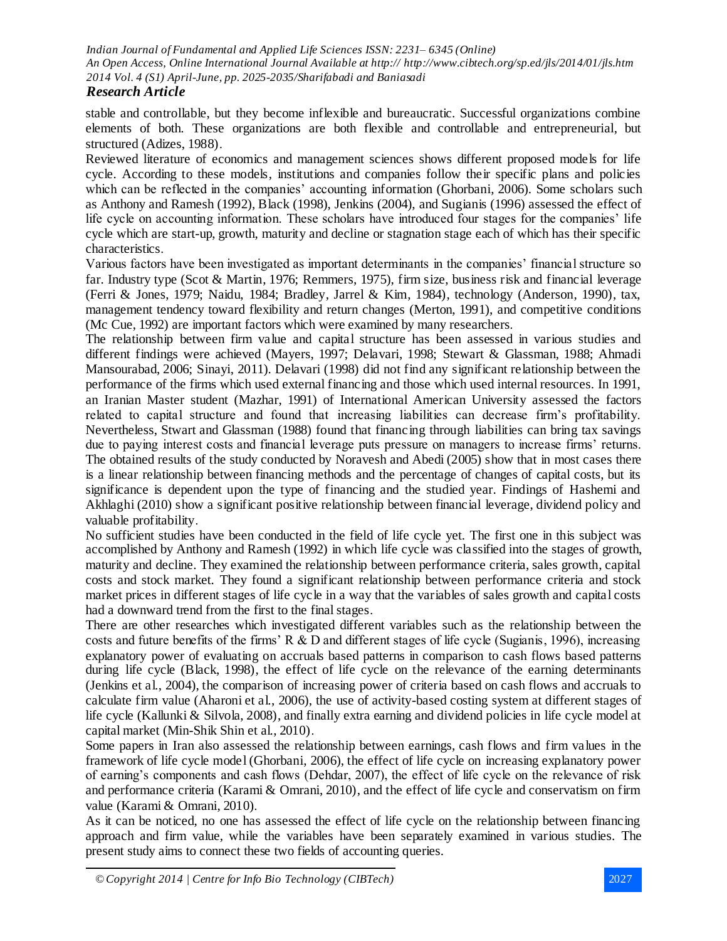# *Research Article*

stable and controllable, but they become inflexible and bureaucratic. Successful organizations combine elements of both. These organizations are both flexible and controllable and entrepreneurial, but structured (Adizes, 1988).

Reviewed literature of economics and management sciences shows different proposed models for life cycle. According to these models, institutions and companies follow their specific plans and policies which can be reflected in the companies' accounting information (Ghorbani, 2006). Some scholars such as Anthony and Ramesh (1992), Black (1998), Jenkins (2004), and Sugianis (1996) assessed the effect of life cycle on accounting information. These scholars have introduced four stages for the companies' life cycle which are start-up, growth, maturity and decline or stagnation stage each of which has their specific characteristics.

Various factors have been investigated as important determinants in the companies' financial structure so far. Industry type (Scot & Martin, 1976; Remmers, 1975), firm size, business risk and financial leverage (Ferri & Jones, 1979; Naidu, 1984; Bradley, Jarrel & Kim, 1984), technology (Anderson, 1990), tax, management tendency toward flexibility and return changes (Merton, 1991), and competitive conditions (Mc Cue, 1992) are important factors which were examined by many researchers.

The relationship between firm value and capital structure has been assessed in various studies and different findings were achieved (Mayers, 1997; Delavari, 1998; Stewart & Glassman, 1988; Ahmadi Mansourabad, 2006; Sinayi, 2011). Delavari (1998) did not find any significant relationship between the performance of the firms which used external financing and those which used internal resources. In 1991, an Iranian Master student (Mazhar, 1991) of International American University assessed the factors related to capital structure and found that increasing liabilities can decrease firm's profitability. Nevertheless, Stwart and Glassman (1988) found that financing through liabilities can bring tax savings due to paying interest costs and financial leverage puts pressure on managers to increase firms' returns. The obtained results of the study conducted by Noravesh and Abedi (2005) show that in most cases there is a linear relationship between financing methods and the percentage of changes of capital costs, but its significance is dependent upon the type of financing and the studied year. Findings of Hashemi and Akhlaghi (2010) show a significant positive relationship between financial leverage, dividend policy and valuable profitability.

No sufficient studies have been conducted in the field of life cycle yet. The first one in this subject was accomplished by Anthony and Ramesh (1992) in which life cycle was classified into the stages of growth, maturity and decline. They examined the relationship between performance criteria, sales growth, capital costs and stock market. They found a significant relationship between performance criteria and stock market prices in different stages of life cycle in a way that the variables of sales growth and capital costs had a downward trend from the first to the final stages.

There are other researches which investigated different variables such as the relationship between the costs and future benefits of the firms' R & D and different stages of life cycle (Sugianis, 1996), increasing explanatory power of evaluating on accruals based patterns in comparison to cash flows based patterns during life cycle (Black, 1998), the effect of life cycle on the relevance of the earning determinants (Jenkins et al., 2004), the comparison of increasing power of criteria based on cash flows and accruals to calculate firm value (Aharoni et al., 2006), the use of activity-based costing system at different stages of life cycle (Kallunki & Silvola, 2008), and finally extra earning and dividend policies in life cycle model at capital market (Min-Shik Shin et al., 2010).

Some papers in Iran also assessed the relationship between earnings, cash flows and firm values in the framework of life cycle model (Ghorbani, 2006), the effect of life cycle on increasing explanatory power of earning's components and cash flows (Dehdar, 2007), the effect of life cycle on the relevance of risk and performance criteria (Karami & Omrani, 2010), and the effect of life cycle and conservatism on firm value (Karami & Omrani, 2010).

As it can be noticed, no one has assessed the effect of life cycle on the relationship between financing approach and firm value, while the variables have been separately examined in various studies. The present study aims to connect these two fields of accounting queries.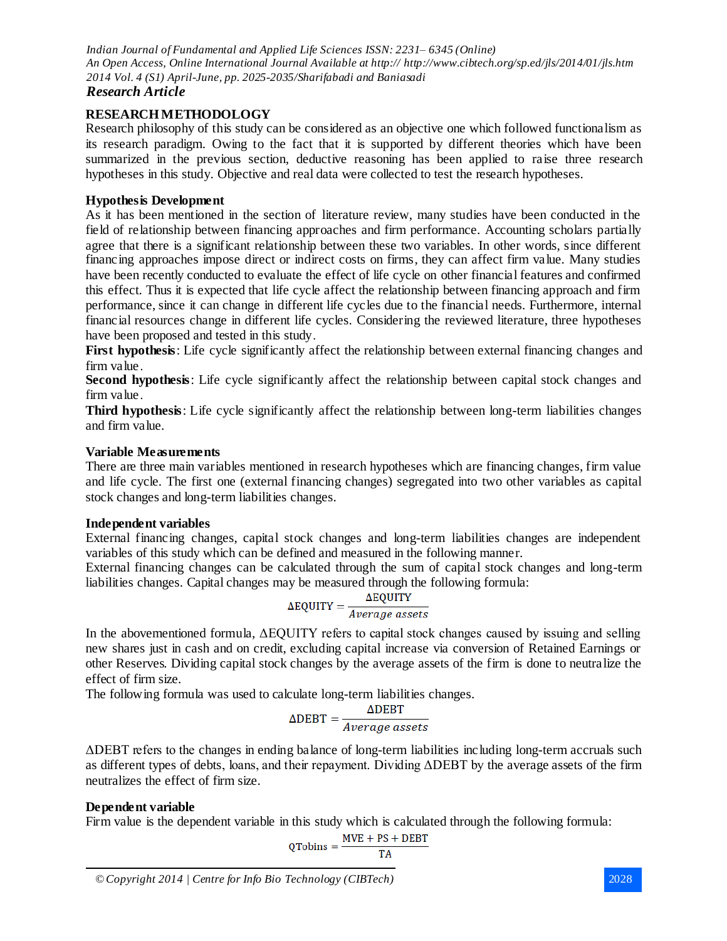# *Research Article*

# **RESEARCH METHODOLOGY**

Research philosophy of this study can be considered as an objective one which followed functionalism as its research paradigm. Owing to the fact that it is supported by different theories which have been summarized in the previous section, deductive reasoning has been applied to raise three research hypotheses in this study. Objective and real data were collected to test the research hypotheses.

### **Hypothesis Development**

As it has been mentioned in the section of literature review, many studies have been conducted in the field of relationship between financing approaches and firm performance. Accounting scholars partially agree that there is a significant relationship between these two variables. In other words, since different financing approaches impose direct or indirect costs on firms, they can affect firm value. Many studies have been recently conducted to evaluate the effect of life cycle on other financial features and confirmed this effect. Thus it is expected that life cycle affect the relationship between financing approach and firm performance, since it can change in different life cycles due to the financial needs. Furthermore, internal financial resources change in different life cycles. Considering the reviewed literature, three hypotheses have been proposed and tested in this study.

**First hypothesis:** Life cycle significantly affect the relationship between external financing changes and firm value.

**Second hypothesis**: Life cycle significantly affect the relationship between capital stock changes and firm value.

**Third hypothesis**: Life cycle significantly affect the relationship between long-term liabilities changes and firm value.

### **Variable Measurements**

There are three main variables mentioned in research hypotheses which are financing changes, firm value and life cycle. The first one (external financing changes) segregated into two other variables as capital stock changes and long-term liabilities changes.

#### **Independent variables**

External financing changes, capital stock changes and long-term liabilities changes are independent variables of this study which can be defined and measured in the following manner.

External financing changes can be calculated through the sum of capital stock changes and long-term liabilities changes. Capital changes may be measured through the following formula:

$$
\Delta \text{EQUITY} = \frac{\Delta \text{EQUITY}}{Average\ assets}
$$

In the abovementioned formula, ΔEQUITY refers to capital stock changes caused by issuing and selling new shares just in cash and on credit, excluding capital increase via conversion of Retained Earnings or other Reserves. Dividing capital stock changes by the average assets of the firm is done to neutralize the effect of firm size.

The following formula was used to calculate long-term liabilities changes.

$$
\Delta \text{DEBT} = \frac{\Delta \text{DEBT}}{Average\ assets}
$$

ΔDEBT refers to the changes in ending balance of long-term liabilities including long-term accruals such as different types of debts, loans, and their repayment. Dividing ΔDEBT by the average assets of the firm neutralizes the effect of firm size.

# **Dependent variable**

Firm value is the dependent variable in this study which is calculated through the following formula:

$$
Q \text{Tobins} = \frac{\text{MVE} + \text{PS} + \text{DEBT}}{\text{TA}}
$$

*<sup>©</sup> Copyright 2014 | Centre for Info Bio Technology (CIBTech)* 2028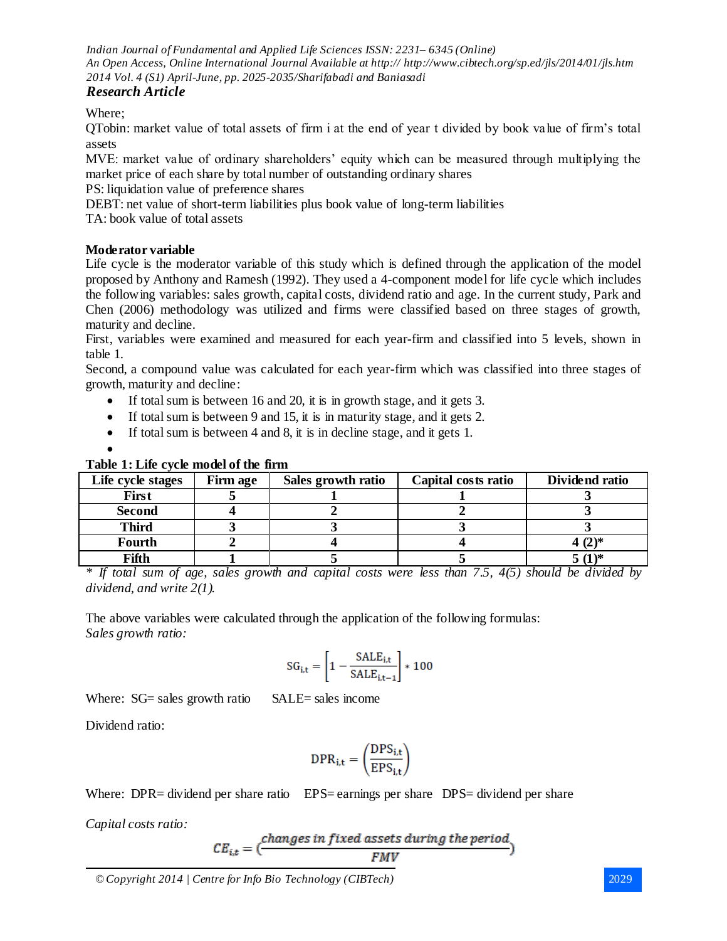# *Research Article*

Where;

QTobin: market value of total assets of firm i at the end of year t divided by book value of firm's total assets

MVE: market value of ordinary shareholders' equity which can be measured through multiplying the market price of each share by total number of outstanding ordinary shares

PS: liquidation value of preference shares

DEBT: net value of short-term liabilities plus book value of long-term liabilities

TA: book value of total assets

# **Moderator variable**

Life cycle is the moderator variable of this study which is defined through the application of the model proposed by Anthony and Ramesh (1992). They used a 4-component model for life cycle which includes the following variables: sales growth, capital costs, dividend ratio and age. In the current study, Park and Chen (2006) methodology was utilized and firms were classified based on three stages of growth, maturity and decline.

First, variables were examined and measured for each year-firm and classified into 5 levels, shown in table 1.

Second, a compound value was calculated for each year-firm which was classified into three stages of growth, maturity and decline:

- If total sum is between 16 and 20, it is in growth stage, and it gets 3.
- If total sum is between 9 and 15, it is in maturity stage, and it gets 2.
- If total sum is between 4 and 8, it is in decline stage, and it gets 1.

| ۰.<br>۰, |
|----------|

### **Table 1: Life cycle model of the firm**

| Life cycle stages | Firm age | Sales growth ratio | Capital costs ratio | Dividend ratio |
|-------------------|----------|--------------------|---------------------|----------------|
| <b>First</b>      |          |                    |                     |                |
| <b>Second</b>     |          |                    |                     |                |
| <b>Third</b>      |          |                    |                     |                |
| Fourth            |          |                    |                     | 4 $(2)$ *      |
| Fifth             |          |                    |                     | $(1)^*$        |

*\* If total sum of age, sales growth and capital costs were less than 7.5, 4(5) should be divided by dividend, and write 2(1).*

The above variables were calculated through the application of the following formulas: *Sales growth ratio:*

$$
\text{SG}_{i,t} = \left[1-\frac{\text{SALE}_{i,t}}{\text{SALE}_{i,t-1}}\right]*100
$$

Where: SG= sales growth ratio SALE= sales income

Dividend ratio:

$$
\text{DPR}_{i,t} = \left(\frac{\text{DPS}_{i,t}}{\text{EPS}_{i,t}}\right)
$$

Where: DPR= dividend per share ratio EPS= earnings per share DPS= dividend per share

*Capital costs ratio:*

$$
CE_{i,t} = (\frac{changes \ in \ fixed \ assets \ during \ the \ period}{FMV})
$$

*<sup>©</sup> Copyright 2014 | Centre for Info Bio Technology (CIBTech)* 2029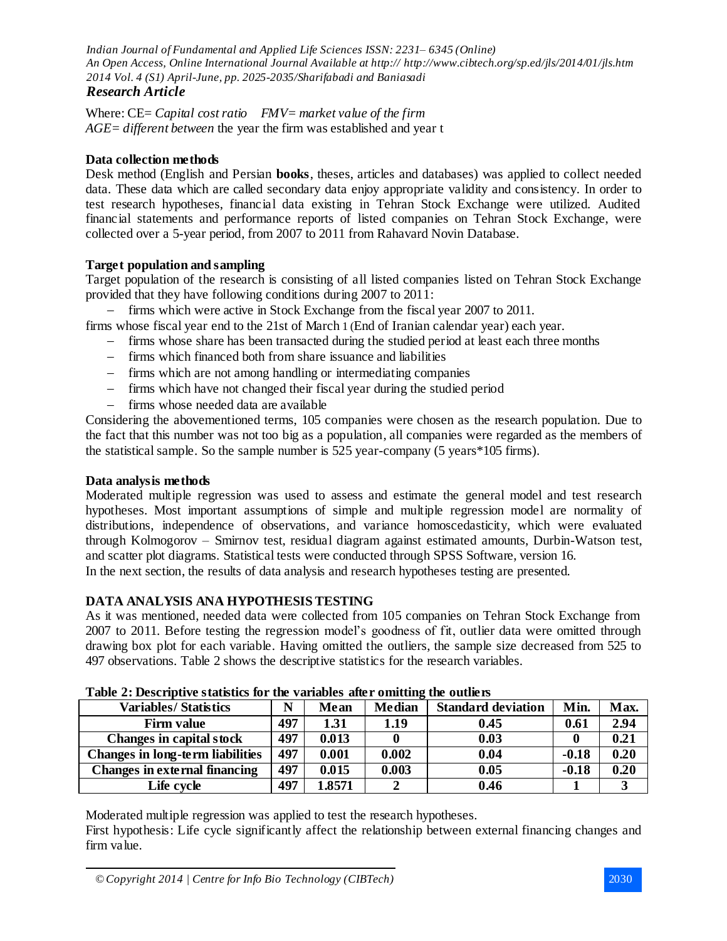Where: CE= *Capital cost ratio FMV= market value of the firm AGE= different between* the year the firm was established and year t

### **Data collection methods**

Desk method (English and Persian **books**, theses, articles and databases) was applied to collect needed data. These data which are called secondary data enjoy appropriate validity and consistency. In order to test research hypotheses, financial data existing in Tehran Stock Exchange were utilized. Audited financial statements and performance reports of listed companies on Tehran Stock Exchange, were collected over a 5-year period, from 2007 to 2011 from Rahavard Novin Database.

### **Target population and sampling**

Target population of the research is consisting of all listed companies listed on Tehran Stock Exchange provided that they have following conditions during 2007 to 2011:

- firms which were active in Stock Exchange from the fiscal year 2007 to 2011.

firms whose fiscal year end to the 21st of March 1 (End of Iranian calendar year) each year.

- firms whose share has been transacted during the studied period at least each three months
- firms which financed both from share issuance and liabilities
- firms which are not among handling or intermediating companies
- firms which have not changed their fiscal year during the studied period
- firms whose needed data are available

Considering the abovementioned terms, 105 companies were chosen as the research population. Due to the fact that this number was not too big as a population, all companies were regarded as the members of the statistical sample. So the sample number is 525 year-company (5 years\*105 firms).

#### **Data analysis methods**

Moderated multiple regression was used to assess and estimate the general model and test research hypotheses. Most important assumptions of simple and multiple regression model are normality of distributions, independence of observations, and variance homoscedasticity, which were evaluated through Kolmogorov – Smirnov test, residual diagram against estimated amounts, Durbin-Watson test, and scatter plot diagrams. Statistical tests were conducted through SPSS Software, version 16. In the next section, the results of data analysis and research hypotheses testing are presented.

#### **DATA ANALYSIS ANA HYPOTHESIS TESTING**

As it was mentioned, needed data were collected from 105 companies on Tehran Stock Exchange from 2007 to 2011. Before testing the regression model's goodness of fit, outlier data were omitted through drawing box plot for each variable. Having omitted the outliers, the sample size decreased from 525 to 497 observations. Table 2 shows the descriptive statistics for the research variables.

| Tuble 21 Descriptives subsites for the variables and vinituing the value by |     |        |               |                           |         |      |  |
|-----------------------------------------------------------------------------|-----|--------|---------------|---------------------------|---------|------|--|
| <b>Variables/Statistics</b>                                                 | N   | Mean   | <b>Median</b> | <b>Standard deviation</b> | Min.    | Max. |  |
| <b>Firm value</b>                                                           | 497 | 1.31   | 1.19          | 0.45                      | 0.61    | 2.94 |  |
| Changes in capital stock                                                    | 497 | 0.013  |               | 0.03                      |         | 0.21 |  |
| Changes in long-term liabilities                                            | 497 | 0.001  | 0.002         | 0.04                      | $-0.18$ | 0.20 |  |
| <b>Changes in external financing</b>                                        | 497 | 0.015  | 0.003         | 0.05                      | $-0.18$ | 0.20 |  |
| Life cycle                                                                  | 497 | 1.8571 |               | 0.46                      |         |      |  |

#### **Table 2: Descriptive statistics for the variables after omitting the outliers**

Moderated multiple regression was applied to test the research hypotheses.

First hypothesis: Life cycle significantly affect the relationship between external financing changes and firm value.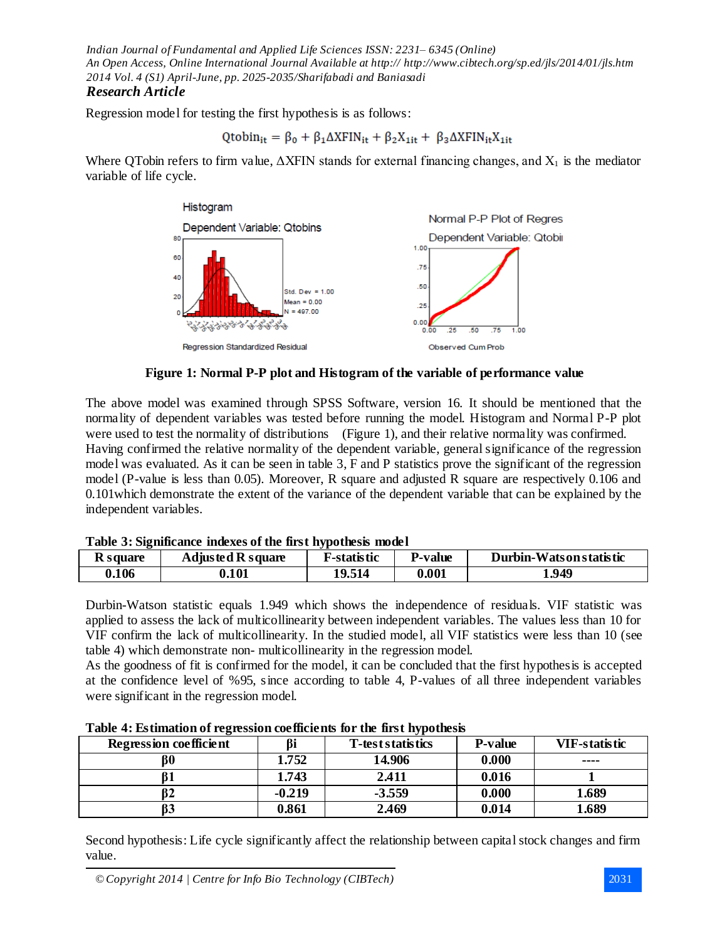# *Research Article*

Regression model for testing the first hypothesis is as follows:

$$
Qtobin_{it} = \beta_0 + \beta_1 \Delta XFIN_{it} + \beta_2 X_{1it} + \beta_3 \Delta XFIN_{it}X_{1it}
$$

Where QTobin refers to firm value,  $\Delta XFIN$  stands for external financing changes, and  $X_1$  is the mediator variable of life cycle.



**Figure 1: Normal P-P plot and Histogram of the variable of performance value**

The above model was examined through SPSS Software, version 16. It should be mentioned that the normality of dependent variables was tested before running the model. Histogram and Normal P-P plot were used to test the normality of distributions (Figure 1), and their relative normality was confirmed. Having confirmed the relative normality of the dependent variable, general significance of the regression model was evaluated. As it can be seen in table 3, F and P statistics prove the significant of the regression model (P-value is less than 0.05). Moreover, R square and adjusted R square are respectively 0.106 and 0.101which demonstrate the extent of the variance of the dependent variable that can be explained by the independent variables.

|  |  |  | Table 3: Significance indexes of the first hypothesis model |  |
|--|--|--|-------------------------------------------------------------|--|
|  |  |  |                                                             |  |

| <b>R</b> square | <b>Adjusted R square</b> | F-statistic | <b>P-value</b> | Durbin-Watson statistic |
|-----------------|--------------------------|-------------|----------------|-------------------------|
| 0.106           | 0.101                    | 19.514      | 0.001          | 1.949                   |

Durbin-Watson statistic equals 1.949 which shows the independence of residuals. VIF statistic was applied to assess the lack of multicollinearity between independent variables. The values less than 10 for VIF confirm the lack of multicollinearity. In the studied model, all VIF statistics were less than 10 (see table 4) which demonstrate non- multicollinearity in the regression model.

As the goodness of fit is confirmed for the model, it can be concluded that the first hypothesis is accepted at the confidence level of %95, since according to table 4, P-values of all three independent variables were significant in the regression model.

| $\sqrt{ }$<br><b>Regression coefficient</b> | <b>Bi</b> | . .<br>T-test statistics | <b>P-value</b> | <b>VIF-statistic</b> |
|---------------------------------------------|-----------|--------------------------|----------------|----------------------|
| ß0                                          | 1.752     | 14.906                   | 0.000          | ----                 |
|                                             | 1.743     | 2.411                    | 0.016          |                      |
| Ď۷                                          | $-0.219$  | $-3.559$                 | 0.000          | 1.689                |
| DJ                                          | 0.861     | 2.469                    | 0.014          | 1.689                |

**Table 4: Estimation of regression coefficients for the first hypothesis**

Second hypothesis: Life cycle significantly affect the relationship between capital stock changes and firm value.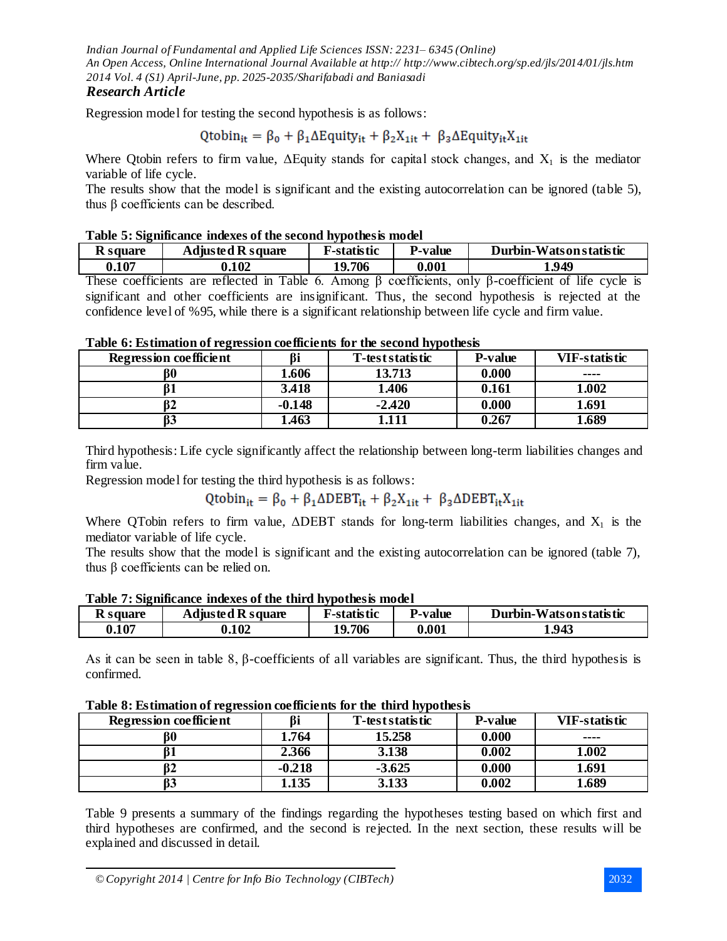# *Research Article*

Regression model for testing the second hypothesis is as follows:

# $\text{Qtobin}_{it} = \beta_0 + \beta_1 \Delta E$ quity<sub>it</sub> +  $\beta_2 X_{1it} + \beta_3 \Delta E$ quity<sub>it</sub> $X_{1it}$

Where Qtobin refers to firm value,  $\Delta$ Equity stands for capital stock changes, and  $X_1$  is the mediator variable of life cycle.

The results show that the model is significant and the existing autocorrelation can be ignored (table 5), thus β coefficients can be described.

#### **Table 5: Significance indexes of the second hypothesis model**

| <b>K</b> square | <b>Adjusted R square</b> | F-statistic | l'-value | Durbin-Watson statistic |
|-----------------|--------------------------|-------------|----------|-------------------------|
| 0.107           | 0.102                    | 19.706      | 0.001    | 1.949                   |

These coefficients are reflected in Table 6. Among  $\beta$  coefficients, only  $\beta$ -coefficient of life cycle is significant and other coefficients are insignificant. Thus, the second hypothesis is rejected at the confidence level of %95, while there is a significant relationship between life cycle and firm value.

| I able v. Estimation of regression coefficients for the second hypothesis |          |                  |                |               |  |  |
|---------------------------------------------------------------------------|----------|------------------|----------------|---------------|--|--|
| <b>Regression coefficient</b>                                             |          | T-test statistic | <b>P-value</b> | VIF-statistic |  |  |
| ß0                                                                        | 1.606    | 13.713           | 0.000          | ----          |  |  |
|                                                                           | 3.418    | 1.406            | 0.161          | 1.002         |  |  |
| 32                                                                        | $-0.148$ | $-2.420$         | 0.000          | 1.691         |  |  |
| ß3                                                                        | 1.463    | 1.111            | 0.267          | 1.689         |  |  |

# **Table 6: Estimation of regression coefficients for the second hypothesis**

Third hypothesis: Life cycle significantly affect the relationship between long-term liabilities changes and firm value.

Regression model for testing the third hypothesis is as follows:

 $\text{Qtobin}_{it} = \beta_0 + \beta_1 \Delta \text{DEBT}_{it} + \beta_2 X_{1it} + \beta_3 \Delta \text{DEBT}_{it} X_{1it}$ 

Where QTobin refers to firm value,  $\triangle DEF$  stands for long-term liabilities changes, and  $X_1$  is the mediator variable of life cycle.

The results show that the model is significant and the existing autocorrelation can be ignored (table 7), thus β coefficients can be relied on.

| <b>Table 7. Significance muexes of the third hypothesis model</b> |                          |                     |                |                         |  |  |
|-------------------------------------------------------------------|--------------------------|---------------------|----------------|-------------------------|--|--|
| R square                                                          | <b>Adjusted R square</b> | <b>F</b> -statistic | <b>P-value</b> | Durbin-Watson statistic |  |  |
| 0.107                                                             | 0.102                    | 19.706              | 0.001          | 1.943                   |  |  |

### **Table 7: Significance indexes of the third hypothesis model**

As it can be seen in table 8, β-coefficients of all variables are significant. Thus, the third hypothesis is confirmed.

| Table of Estimation of regression coefficients for the third hypothesis |          |                  |                |                      |  |  |  |
|-------------------------------------------------------------------------|----------|------------------|----------------|----------------------|--|--|--|
| <b>Regression coefficient</b>                                           | ßi       | T-test statistic | <b>P-value</b> | <b>VIF-statistic</b> |  |  |  |
|                                                                         | 1.764    | 15.258           | 0.000          | ----                 |  |  |  |
|                                                                         | 2.366    | 3.138            | 0.002          | 1.002                |  |  |  |
| 62                                                                      | $-0.218$ | $-3.625$         | 0.000          | 1.691                |  |  |  |
| ß3                                                                      | 1.135    | 3.133            | 0.002          | 1.689                |  |  |  |

# **Table 8: Estimation of regression coefficients for the third hypothesis**

Table 9 presents a summary of the findings regarding the hypotheses testing based on which first and third hypotheses are confirmed, and the second is rejected. In the next section, these results will be explained and discussed in detail.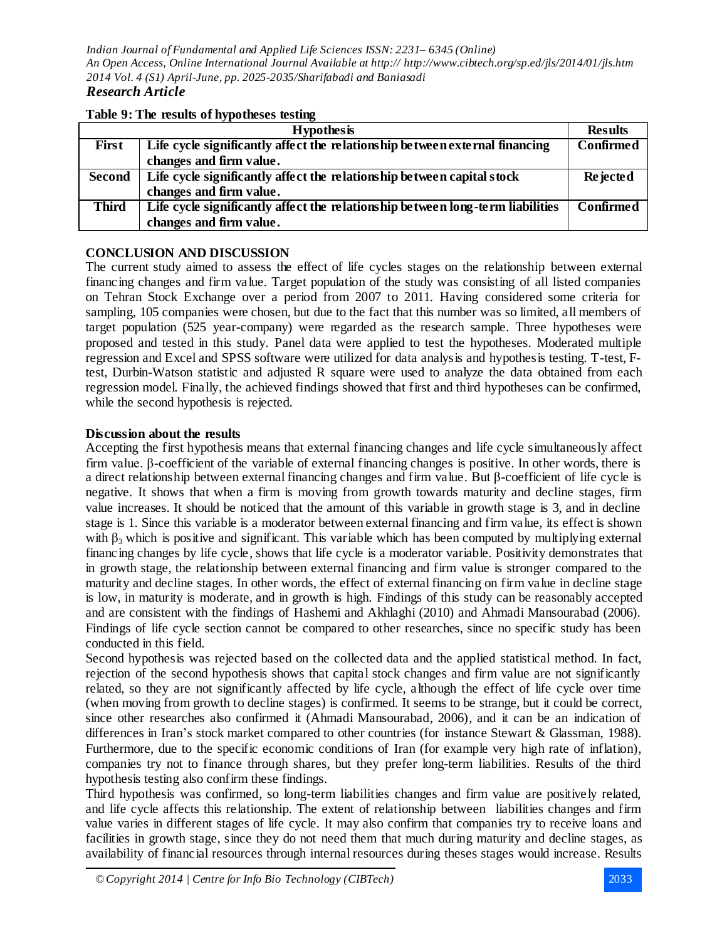#### **Table 9: The results of hypotheses testing**

|               | <b>Hypothesis</b>                                                              | <b>Results</b>   |
|---------------|--------------------------------------------------------------------------------|------------------|
| <b>First</b>  | Life cycle significantly affect the relationship between external financing    | <b>Confirmed</b> |
|               | changes and firm value.                                                        |                  |
| <b>Second</b> | Life cycle significantly affect the relationship between capital stock         | <b>Rejected</b>  |
|               | changes and firm value.                                                        |                  |
| <b>Third</b>  | Life cycle significantly affect the relationship between long-term liabilities | <b>Confirmed</b> |
|               | changes and firm value.                                                        |                  |

### **CONCLUSION AND DISCUSSION**

The current study aimed to assess the effect of life cycles stages on the relationship between external financing changes and firm value. Target population of the study was consisting of all listed companies on Tehran Stock Exchange over a period from 2007 to 2011. Having considered some criteria for sampling, 105 companies were chosen, but due to the fact that this number was so limited, all members of target population (525 year-company) were regarded as the research sample. Three hypotheses were proposed and tested in this study. Panel data were applied to test the hypotheses. Moderated multiple regression and Excel and SPSS software were utilized for data analysis and hypothesis testing. T-test, Ftest, Durbin-Watson statistic and adjusted R square were used to analyze the data obtained from each regression model. Finally, the achieved findings showed that first and third hypotheses can be confirmed, while the second hypothesis is rejected.

#### **Discussion about the results**

Accepting the first hypothesis means that external financing changes and life cycle simultaneously affect firm value. β-coefficient of the variable of external financing changes is positive. In other words, there is a direct relationship between external financing changes and firm value. But β-coefficient of life cycle is negative. It shows that when a firm is moving from growth towards maturity and decline stages, firm value increases. It should be noticed that the amount of this variable in growth stage is 3, and in decline stage is 1. Since this variable is a moderator between external financing and firm value, its effect is shown with  $\beta_3$  which is positive and significant. This variable which has been computed by multiplying external financing changes by life cycle, shows that life cycle is a moderator variable. Positivity demonstrates that in growth stage, the relationship between external financing and firm value is stronger compared to the maturity and decline stages. In other words, the effect of external financing on firm value in decline stage is low, in maturity is moderate, and in growth is high. Findings of this study can be reasonably accepted and are consistent with the findings of Hashemi and Akhlaghi (2010) and Ahmadi Mansourabad (2006). Findings of life cycle section cannot be compared to other researches, since no specific study has been conducted in this field.

Second hypothesis was rejected based on the collected data and the applied statistical method. In fact, rejection of the second hypothesis shows that capital stock changes and firm value are not significantly related, so they are not significantly affected by life cycle, although the effect of life cycle over time (when moving from growth to decline stages) is confirmed. It seems to be strange, but it could be correct, since other researches also confirmed it (Ahmadi Mansourabad, 2006), and it can be an indication of differences in Iran's stock market compared to other countries (for instance Stewart & Glassman, 1988). Furthermore, due to the specific economic conditions of Iran (for example very high rate of inflation), companies try not to finance through shares, but they prefer long-term liabilities. Results of the third hypothesis testing also confirm these findings.

Third hypothesis was confirmed, so long-term liabilities changes and firm value are positively related, and life cycle affects this relationship. The extent of relationship between liabilities changes and firm value varies in different stages of life cycle. It may also confirm that companies try to receive loans and facilities in growth stage, since they do not need them that much during maturity and decline stages, as availability of financial resources through internal resources during theses stages would increase. Results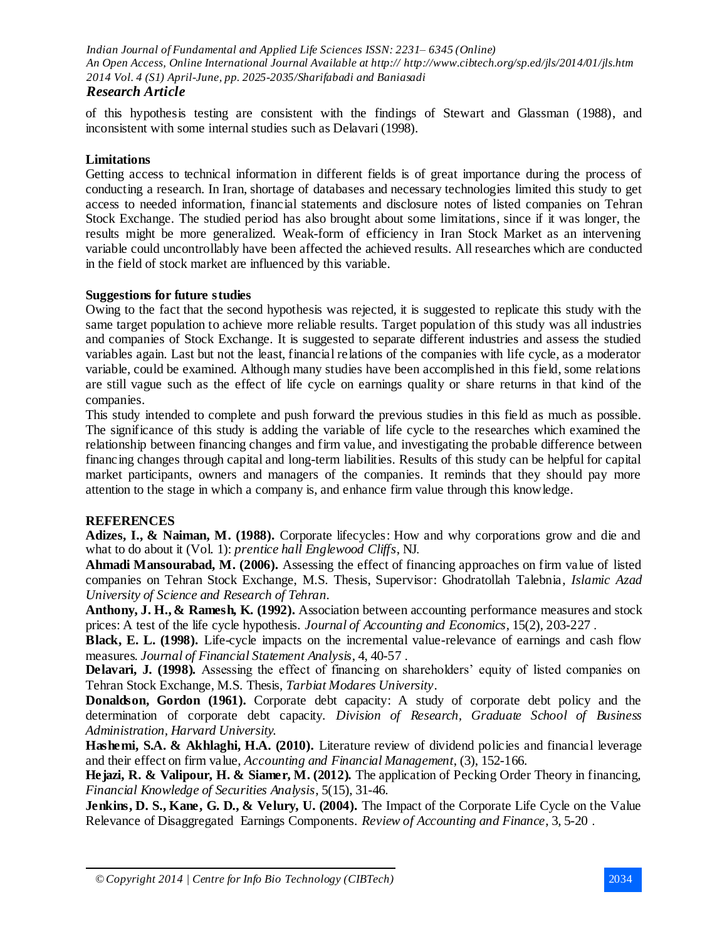# *Research Article*

of this hypothesis testing are consistent with the findings of Stewart and Glassman (1988), and inconsistent with some internal studies such as Delavari (1998).

# **Limitations**

Getting access to technical information in different fields is of great importance during the process of conducting a research. In Iran, shortage of databases and necessary technologies limited this study to get access to needed information, financial statements and disclosure notes of listed companies on Tehran Stock Exchange. The studied period has also brought about some limitations, since if it was longer, the results might be more generalized. Weak-form of efficiency in Iran Stock Market as an intervening variable could uncontrollably have been affected the achieved results. All researches which are conducted in the field of stock market are influenced by this variable.

### **Suggestions for future studies**

Owing to the fact that the second hypothesis was rejected, it is suggested to replicate this study with the same target population to achieve more reliable results. Target population of this study was all industries and companies of Stock Exchange. It is suggested to separate different industries and assess the studied variables again. Last but not the least, financial relations of the companies with life cycle, as a moderator variable, could be examined. Although many studies have been accomplished in this field, some relations are still vague such as the effect of life cycle on earnings quality or share returns in that kind of the companies.

This study intended to complete and push forward the previous studies in this field as much as possible. The significance of this study is adding the variable of life cycle to the researches which examined the relationship between financing changes and firm value, and investigating the probable difference between financing changes through capital and long-term liabilities. Results of this study can be helpful for capital market participants, owners and managers of the companies. It reminds that they should pay more attention to the stage in which a company is, and enhance firm value through this knowledge.

# **REFERENCES**

Adizes, I., & Naiman, M. (1988). Corporate lifecycles: How and why corporations grow and die and what to do about it (Vol. 1): *prentice hall Englewood Cliffs*, NJ.

**Ahmadi Mansourabad, M. (2006).** Assessing the effect of financing approaches on firm value of listed companies on Tehran Stock Exchange, M.S. Thesis, Supervisor: Ghodratollah Talebnia, *Islamic Azad University of Science and Research of Tehran*.

**Anthony, J. H., & Ramesh, K. (1992).** Association between accounting performance measures and stock prices: A test of the life cycle hypothesis. *Journal of Accounting and Economics*, 15(2), 203-227 .

**Black, E. L. (1998).** Life-cycle impacts on the incremental value-relevance of earnings and cash flow measures. *Journal of Financial Statement Analysis*, 4, 40-57 .

**Delavari, J. (1998).** Assessing the effect of financing on shareholders' equity of listed companies on Tehran Stock Exchange, M.S. Thesis, *Tarbiat Modares University*.

**Donaldson, Gordon (1961).** Corporate debt capacity: A study of corporate debt policy and the determination of corporate debt capacity. *Division of Research, Graduate School of Business Administration, Harvard University.*

**Hashemi, S.A. & Akhlaghi, H.A. (2010).** Literature review of dividend policies and financial leverage and their effect on firm value, *Accounting and Financial Management*, (3), 152-166.

**Hejazi, R. & Valipour, H. & Siamer, M. (2012).** The application of Pecking Order Theory in financing, *Financial Knowledge of Securities Analysis*, 5(15), 31-46.

**Jenkins, D. S., Kane, G. D., & Velury, U. (2004).** The Impact of the Corporate Life Cycle on the Value Relevance of Disaggregated Earnings Components. *Review of Accounting and Finance*, 3, 5-20 .